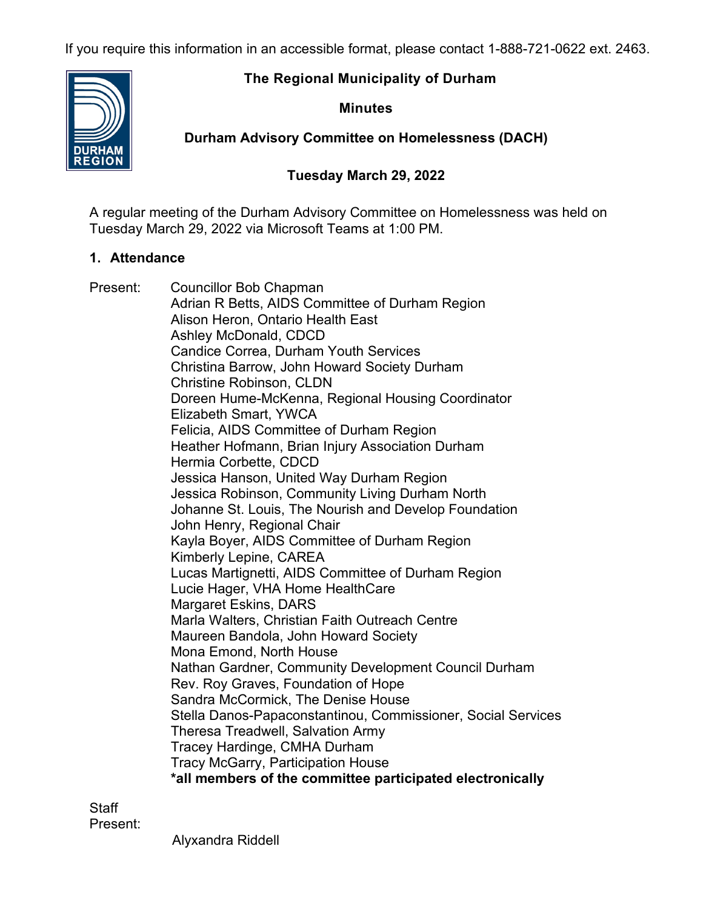If you require this information in an accessible format, please contact 1-888-721-0622 ext. 2463.

# **The Regional Municipality of Durham**



# **Minutes**

**Durham Advisory Committee on Homelessness (DACH)**

# **Tuesday March 29, 2022**

A regular meeting of the Durham Advisory Committee on Homelessness was held on Tuesday March 29, 2022 via Microsoft Teams at 1:00 PM.

# **1. Attendance**

Present: Councillor Bob Chapman Adrian R Betts, AIDS Committee of Durham Region Alison Heron, Ontario Health East Ashley McDonald, CDCD Candice Correa, Durham Youth Services Christina Barrow, John Howard Society Durham Christine Robinson, CLDN Doreen Hume-McKenna, Regional Housing Coordinator Elizabeth Smart, YWCA Felicia, AIDS Committee of Durham Region Heather Hofmann, Brian Injury Association Durham Hermia Corbette, CDCD Jessica Hanson, United Way Durham Region Jessica Robinson, Community Living Durham North Johanne St. Louis, The Nourish and Develop Foundation John Henry, Regional Chair Kayla Boyer, AIDS Committee of Durham Region Kimberly Lepine, CAREA Lucas Martignetti, AIDS Committee of Durham Region Lucie Hager, VHA Home HealthCare Margaret Eskins, DARS Marla Walters, Christian Faith Outreach Centre Maureen Bandola, John Howard Society Mona Emond, North House Nathan Gardner, Community Development Council Durham Rev. Roy Graves, Foundation of Hope Sandra McCormick, The Denise House Stella Danos-Papaconstantinou, Commissioner, Social Services Theresa Treadwell, Salvation Army Tracey Hardinge, CMHA Durham Tracy McGarry, Participation House **\*all members of the committee participated electronically**

**Staff** Present:

Alyxandra Riddell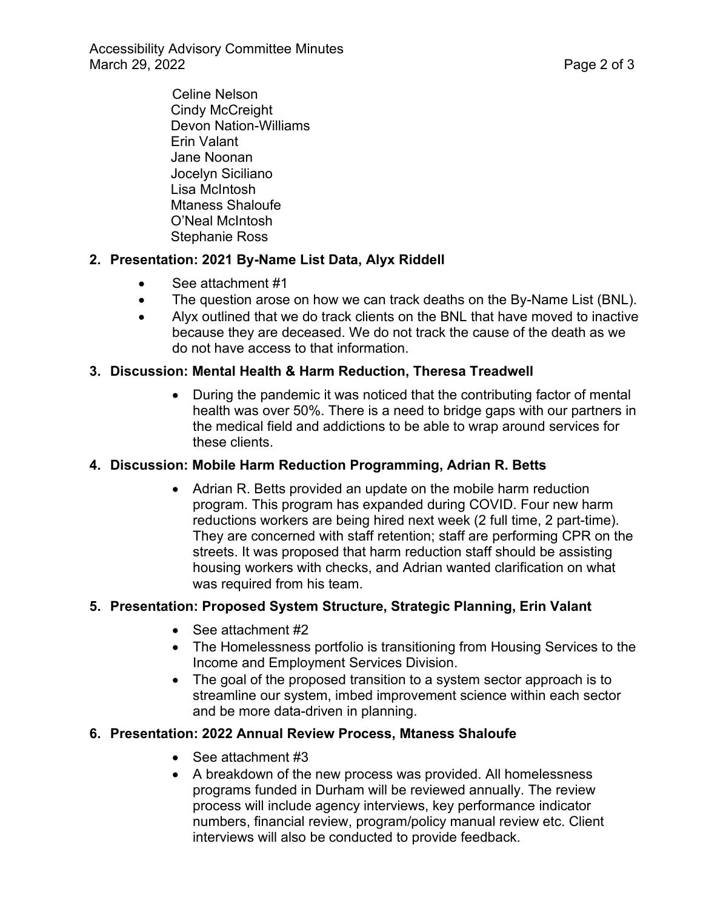Accessibility Advisory Committee Minutes March 29, 2022 **Page 2 of 3** 

> Celine Nelson Cindy McCreight Devon Nation-Williams Erin Valant Jane Noonan Jocelyn Siciliano Lisa McIntosh Mtaness Shaloufe O'Neal McIntosh Stephanie Ross

#### **2. Presentation: 2021 By-Name List Data, Alyx Riddell**

- See attachment #1
- The question arose on how we can track deaths on the By-Name List (BNL).
- Alyx outlined that we do track clients on the BNL that have moved to inactive because they are deceased. We do not track the cause of the death as we do not have access to that information.

#### **3. Discussion: Mental Health & Harm Reduction, Theresa Treadwell**

• During the pandemic it was noticed that the contributing factor of mental health was over 50%. There is a need to bridge gaps with our partners in the medical field and addictions to be able to wrap around services for these clients.

#### **4. Discussion: Mobile Harm Reduction Programming, Adrian R. Betts**

• Adrian R. Betts provided an update on the mobile harm reduction program. This program has expanded during COVID. Four new harm reductions workers are being hired next week (2 full time, 2 part-time). They are concerned with staff retention; staff are performing CPR on the streets. It was proposed that harm reduction staff should be assisting housing workers with checks, and Adrian wanted clarification on what was required from his team.

#### **5. Presentation: Proposed System Structure, Strategic Planning, Erin Valant**

- See attachment #2
- The Homelessness portfolio is transitioning from Housing Services to the Income and Employment Services Division.
- The goal of the proposed transition to a system sector approach is to streamline our system, imbed improvement science within each sector and be more data-driven in planning.

#### **6. Presentation: 2022 Annual Review Process, Mtaness Shaloufe**

- See attachment #3
- A breakdown of the new process was provided. All homelessness programs funded in Durham will be reviewed annually. The review process will include agency interviews, key performance indicator numbers, financial review, program/policy manual review etc. Client interviews will also be conducted to provide feedback.